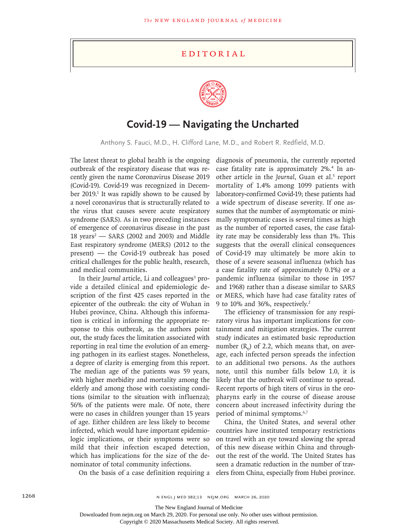## Editorial



## **Covid-19 — Navigating the Uncharted**

Anthony S. Fauci, M.D., H. Clifford Lane, M.D., and Robert R. Redfield, M.D.

The latest threat to global health is the ongoing outbreak of the respiratory disease that was recently given the name Coronavirus Disease 2019 (Covid-19). Covid-19 was recognized in December 2019.<sup>1</sup> It was rapidly shown to be caused by a novel coronavirus that is structurally related to the virus that causes severe acute respiratory syndrome (SARS). As in two preceding instances of emergence of coronavirus disease in the past 18 years<sup>2</sup> – SARS (2002 and 2003) and Middle East respiratory syndrome (MERS) (2012 to the present) — the Covid-19 outbreak has posed critical challenges for the public health, research, and medical communities.

In their Journal article, Li and colleagues<sup>3</sup> provide a detailed clinical and epidemiologic description of the first 425 cases reported in the epicenter of the outbreak: the city of Wuhan in Hubei province, China. Although this information is critical in informing the appropriate response to this outbreak, as the authors point out, the study faces the limitation associated with reporting in real time the evolution of an emerging pathogen in its earliest stages. Nonetheless, a degree of clarity is emerging from this report. The median age of the patients was 59 years, with higher morbidity and mortality among the elderly and among those with coexisting conditions (similar to the situation with influenza); 56% of the patients were male. Of note, there were no cases in children younger than 15 years of age. Either children are less likely to become infected, which would have important epidemiologic implications, or their symptoms were so mild that their infection escaped detection, which has implications for the size of the denominator of total community infections.

On the basis of a case definition requiring a

diagnosis of pneumonia, the currently reported case fatality rate is approximately 2%.4 In another article in the *Journal*, Guan et al.<sup>5</sup> report mortality of 1.4% among 1099 patients with laboratory-confirmed Covid-19; these patients had a wide spectrum of disease severity. If one assumes that the number of asymptomatic or minimally symptomatic cases is several times as high as the number of reported cases, the case fatality rate may be considerably less than 1%. This suggests that the overall clinical consequences of Covid-19 may ultimately be more akin to those of a severe seasonal influenza (which has a case fatality rate of approximately 0.1%) or a pandemic influenza (similar to those in 1957 and 1968) rather than a disease similar to SARS or MERS, which have had case fatality rates of 9 to 10% and 36%, respectively.2

The efficiency of transmission for any respiratory virus has important implications for containment and mitigation strategies. The current study indicates an estimated basic reproduction number  $(R_0)$  of 2.2, which means that, on average, each infected person spreads the infection to an additional two persons. As the authors note, until this number falls below 1.0, it is likely that the outbreak will continue to spread. Recent reports of high titers of virus in the oropharynx early in the course of disease arouse concern about increased infectivity during the period of minimal symptoms.6,7

China, the United States, and several other countries have instituted temporary restrictions on travel with an eye toward slowing the spread of this new disease within China and throughout the rest of the world. The United States has seen a dramatic reduction in the number of travelers from China, especially from Hubei province.

The New England Journal of Medicine

Downloaded from nejm.org on March 29, 2020. For personal use only. No other uses without permission.

Copyright © 2020 Massachusetts Medical Society. All rights reserved.